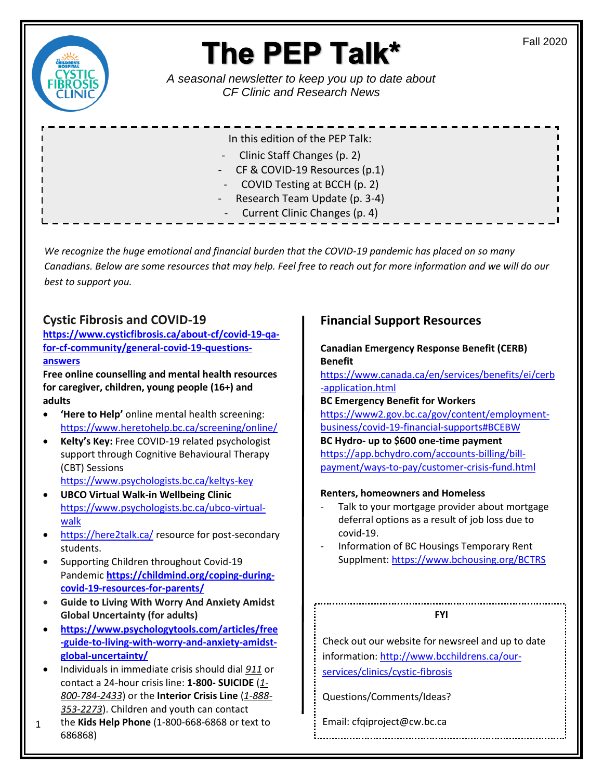

# The PEP Talk\*

*A seasonal newsletter to keep you up to date about CF Clinic and Research News* 

| In this edition of the PEP Talk: |
|----------------------------------|
| - Clinic Staff Changes (p. 2)    |
| - CF & COVID-19 Resources (p.1)  |
| - COVID Testing at BCCH (p. 2)   |
| - Research Team Update (p. 3-4)  |
| - Current Clinic Changes (p. 4)  |

*We recognize the huge emotional and financial burden that the COVID-19 pandemic has placed on so many Canadians. Below are some resources that may help. Feel free to reach out for more information and we will do our best to support you.* 

### **Cystic Fibrosis and COVID-19**

**[https://www.cysticfibrosis.ca/about-cf/covid-19-qa](https://www.cysticfibrosis.ca/about-cf/covid-19-qa-for-cf-community/general-covid-19-questions-answers)[for-cf-community/general-covid-19-questions](https://www.cysticfibrosis.ca/about-cf/covid-19-qa-for-cf-community/general-covid-19-questions-answers)[answers](https://www.cysticfibrosis.ca/about-cf/covid-19-qa-for-cf-community/general-covid-19-questions-answers)**

**Free online counselling and mental health resources for caregiver, children, young people (16+) and adults**

- **'Here to Help'** online mental health screening: <https://www.heretohelp.bc.ca/screening/online/>
- **Kelty's Key:** Free COVID-19 related psychologist support through Cognitive Behavioural Therapy (CBT) Sessions

<https://www.psychologists.bc.ca/keltys-key>

- **UBCO Virtual Walk-in Wellbeing Clinic** [https://www.psychologists.bc.ca/ubco-virtual](https://www.psychologists.bc.ca/ubco-virtual-walk)[walk](https://www.psychologists.bc.ca/ubco-virtual-walk)
- <https://here2talk.ca/> resource for post-secondary students.
- Supporting Children throughout Covid-19 Pandemic **[https://childmind.org/coping-during](https://childmind.org/coping-during-covid-19-resources-for-parents/)[covid-19-resources-for-parents/](https://childmind.org/coping-during-covid-19-resources-for-parents/)**
- **Guide to Living With Worry And Anxiety Amidst Global Uncertainty (for adults)**
- **[https://www.psychologytools.com/articles/free](https://www.psychologytools.com/articles/free-guide-to-living-with-worry-and-anxiety-amidst-global-uncertainty/) [-guide-to-living-with-worry-and-anxiety-amidst](https://www.psychologytools.com/articles/free-guide-to-living-with-worry-and-anxiety-amidst-global-uncertainty/)[global-uncertainty/](https://www.psychologytools.com/articles/free-guide-to-living-with-worry-and-anxiety-amidst-global-uncertainty/)**
- Individuals in immediate crisis should dial *[911](tel:911)* or contact a 24-hour crisis line: **1-800- SUICIDE** (*[1-](tel:1-800-784-2433) [800-784-2433](tel:1-800-784-2433)*) or the **Interior Crisis Line** (*[1-888-](tel:1-888-353-2273) [353-2273](tel:1-888-353-2273)*). Children and youth can contact
- 1 the **Kids Help Phone** (1-800-668-6868 or text to 686868)

# **Financial Support Resources**

**Canadian Emergency Response Benefit (CERB) Benefit** 

[https://www.canada.ca/en/services/benefits/ei/cerb](https://www.canada.ca/en/services/benefits/ei/cerb-application.html) [-application.html](https://www.canada.ca/en/services/benefits/ei/cerb-application.html)

**BC Emergency Benefit for Workers**  [https://www2.gov.bc.ca/gov/content/employment](https://www2.gov.bc.ca/gov/content/employment-business/covid-19-financial-supports#BCEBW)[business/covid-19-financial-supports#BCEBW](https://www2.gov.bc.ca/gov/content/employment-business/covid-19-financial-supports#BCEBW) **BC Hydro- up to \$600 one-time payment**  [https://app.bchydro.com/accounts-billing/bill](https://app.bchydro.com/accounts-billing/bill-payment/ways-to-pay/customer-crisis-fund.html)[payment/ways-to-pay/customer-crisis-fund.html](https://app.bchydro.com/accounts-billing/bill-payment/ways-to-pay/customer-crisis-fund.html)

#### **Renters, homeowners and Homeless**

- Talk to your mortgage provider about mortgage deferral options as a result of job loss due to covid-19.
- Information of BC Housings Temporary Rent Supplment[: https://www.bchousing.org/BCTRS](https://www.bchousing.org/BCTRS)

#### **FYI**

Check out our website for newsreel and up to date information: [http://www.bcchildrens.ca/our](http://www.bcchildrens.ca/our-services/clinics/cystic-fibrosis)[services/clinics/cystic-fibrosis](http://www.bcchildrens.ca/our-services/clinics/cystic-fibrosis)

Questions/Comments/Ideas?

Email: cfqiproject@cw.bc.ca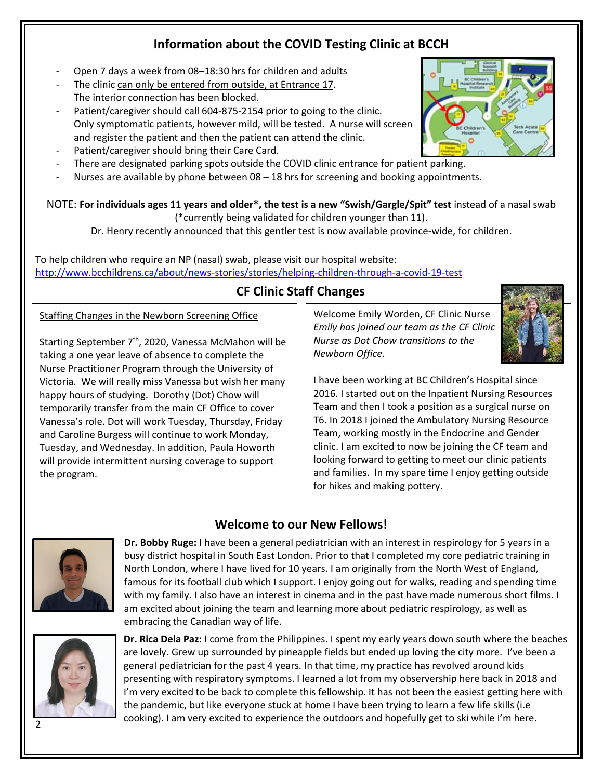# **Information about the COVID Testing Clinic at BCCH**

- Open 7 days a week from 08-18:30 hrs for children and adults
- The clinic can only be entered from outside, at Entrance 17. The interior connection has been blocked.
- Patient/caregiver should call 604-875-2154 prior to going to the clinic. Only symptomatic patients, however mild, will be tested. A nurse will screen and register the patient and then the patient can attend the clinic.
- Patient/caregiver should bring their Care Card.
- There are designated parking spots outside the COVID clinic entrance for patient parking.
- Nurses are available by phone between 08 18 hrs for screening and booking appointments.

NOTE: **For individuals ages 11 years and older\*, the test is a new "Swish/Gargle/Spit" test** instead of a nasal swab (\*currently being validated for children younger than 11).

Dr. Henry recently announced that this gentler test is now available province-wide, for children.

To help children who require an NP (nasal) swab, please visit our hospital website: <http://www.bcchildrens.ca/about/news-stories/stories/helping-children-through-a-covid-19-test>

### **CF Clinic Staff Changes**

#### Staffing Changes in the Newborn Screening Office

Starting September  $7<sup>th</sup>$ , 2020, Vanessa McMahon will be taking a one year leave of absence to complete the Nurse Practitioner Program through the University of Victoria. We will really miss Vanessa but wish her many happy hours of studying. Dorothy (Dot) Chow will temporarily transfer from the main CF Office to cover Vanessa's role. Dot will work Tuesday, Thursday, Friday and Caroline Burgess will continue to work Monday, Tuesday, and Wednesday. In addition, Paula Howorth will provide intermittent nursing coverage to support the program.

Welcome Emily Worden, CF Clinic Nurse *Emily has joined our team as the CF Clinic Nurse as Dot Chow transitions to the Newborn Office.* 

for hikes and making pottery.

Please welcome Emily!

I have been working at BC Children's Hospital since 2016. I started out on the Inpatient Nursing Resources Team and then I took a position as a surgical nurse on T6. In 2018 I joined the Ambulatory Nursing Resource Team, working mostly in the Endocrine and Gender clinic. I am excited to now be joining the CF team and looking forward to getting to meet our clinic patients

and families. In my spare time I enjoy getting outside

# **Welcome to our New Fellows!**



**Dr. Bobby Ruge:** I have been a general pediatrician with an interest in respirology for 5 years in a busy district hospital in South East London. Prior to that I completed my core pediatric training in North London, where I have lived for 10 years. I am originally from the North West of England, famous for its football club which I support. I enjoy going out for walks, reading and spending time with my family. I also have an interest in cinema and in the past have made numerous short films. I am excited about joining the team and learning more about pediatric respirology, as well as embracing the Canadian way of life.



**Dr. Rica Dela Paz:** I come from the Philippines. I spent my early years down south where the beaches are lovely. Grew up surrounded by pineapple fields but ended up loving the city more. I've been a general pediatrician for the past 4 years. In that time, my practice has revolved around kids presenting with respiratory symptoms. I learned a lot from my observership here back in 2018 and I'm very excited to be back to complete this fellowship. It has not been the easiest getting here with the pandemic, but like everyone stuck at home I have been trying to learn a few life skills (i.e cooking). I am very excited to experience the outdoors and hopefully get to ski while I'm here.

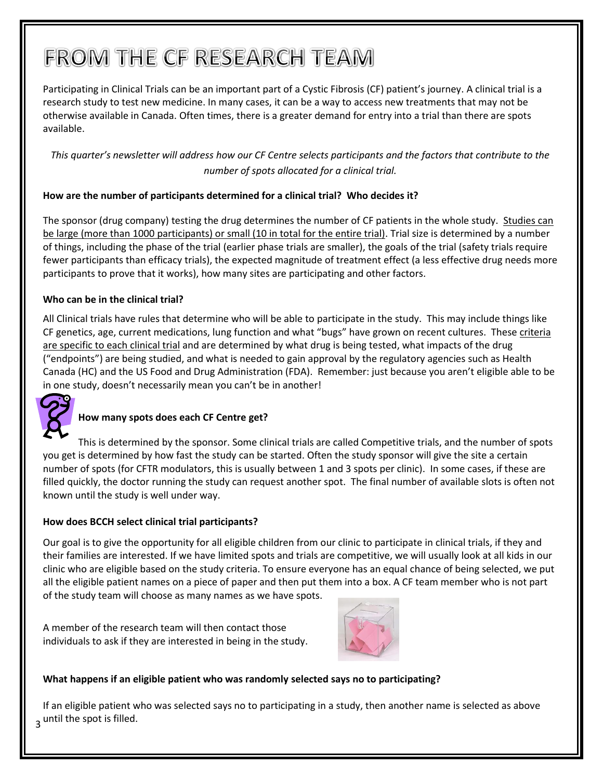# FROM THE CF RESEARCH TEAM

Participating in Clinical Trials can be an important part of a Cystic Fibrosis (CF) patient's journey. A clinical trial is a research study to test new medicine. In many cases, it can be a way to access new treatments that may not be otherwise available in Canada. Often times, there is a greater demand for entry into a trial than there are spots available.

*This quarter's newsletter will address how our CF Centre selects participants and the factors that contribute to the number of spots allocated for a clinical trial.*

#### **How are the number of participants determined for a clinical trial? Who decides it?**

The sponsor (drug company) testing the drug determines the number of CF patients in the whole study. Studies can be large (more than 1000 participants) or small (10 in total for the entire trial). Trial size is determined by a number of things, including the phase of the trial (earlier phase trials are smaller), the goals of the trial (safety trials require fewer participants than efficacy trials), the expected magnitude of treatment effect (a less effective drug needs more participants to prove that it works), how many sites are participating and other factors.

#### **Who can be in the clinical trial?**

All Clinical trials have rules that determine who will be able to participate in the study. This may include things like CF genetics, age, current medications, lung function and what "bugs" have grown on recent cultures. These criteria are specific to each clinical trial and are determined by what drug is being tested, what impacts of the drug ("endpoints") are being studied, and what is needed to gain approval by the regulatory agencies such as Health Canada (HC) and the US Food and Drug Administration (FDA). Remember: just because you aren't eligible able to be in one study, doesn't necessarily mean you can't be in another!



#### **How many spots does each CF Centre get?**

This is determined by the sponsor. Some clinical trials are called Competitive trials, and the number of spots you get is determined by how fast the study can be started. Often the study sponsor will give the site a certain number of spots (for CFTR modulators, this is usually between 1 and 3 spots per clinic). In some cases, if these are filled quickly, the doctor running the study can request another spot. The final number of available slots is often not known until the study is well under way.

#### **How does BCCH select clinical trial participants?**

Our goal is to give the opportunity for all eligible children from our clinic to participate in clinical trials, if they and their families are interested. If we have limited spots and trials are competitive, we will usually look at all kids in our clinic who are eligible based on the study criteria. To ensure everyone has an equal chance of being selected, we put all the eligible patient names on a piece of paper and then put them into a box. A CF team member who is not part of the study team will choose as many names as we have spots.

A member of the research team will then contact those individuals to ask if they are interested in being in the study.



#### **What happens if an eligible patient who was randomly selected says no to participating?**

3 until the spot is filled. If an eligible patient who was selected says no to participating in a study, then another name is selected as above